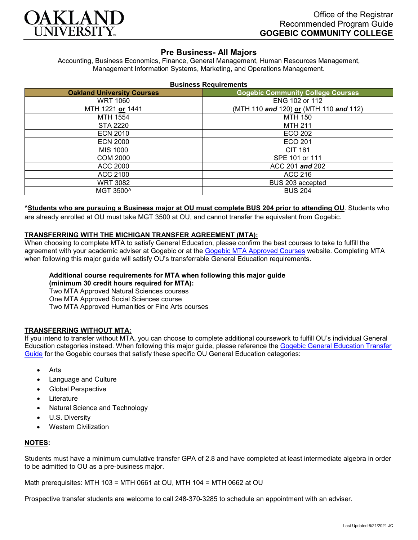

# **Pre Business- All Majors**

Accounting, Business Economics, Finance, General Management, Human Resources Management, Management Information Systems, Marketing, and Operations Management.

| <b>Business Requirements</b> |  |  |
|------------------------------|--|--|
|------------------------------|--|--|

| <b>Oakland University Courses</b> | <b>Gogebic Community College Courses</b> |  |
|-----------------------------------|------------------------------------------|--|
| <b>WRT 1060</b>                   | ENG 102 or 112                           |  |
| MTH 1221 or 1441                  | (MTH 110 and 120) or (MTH 110 and 112)   |  |
| MTH 1554                          | <b>MTH 150</b>                           |  |
| <b>STA 2220</b>                   | <b>MTH 211</b>                           |  |
| <b>ECN 2010</b>                   | ECO 202                                  |  |
| <b>ECN 2000</b>                   | ECO 201                                  |  |
| MIS 1000                          | <b>CIT 161</b>                           |  |
| <b>COM 2000</b>                   | SPE 101 or 111                           |  |
| ACC 2000                          | ACC 201 and 202                          |  |
| ACC 2100                          | ACC 216                                  |  |
| WRT 3082                          | BUS 203 accepted                         |  |
| MGT 3500^                         | <b>BUS 204</b>                           |  |

### ^**Students who are pursuing a Business major at OU must complete BUS 204 prior to attending OU**. Students who

are already enrolled at OU must take MGT 3500 at OU, and cannot transfer the equivalent from Gogebic.

#### **TRANSFERRING WITH THE MICHIGAN TRANSFER AGREEMENT (MTA):**

When choosing to complete MTA to satisfy General Education, please confirm the best courses to take to fulfill the agreement with your academic adviser at Gogebic or at the [Gogebic MTA Approved Courses](https://www.gogebic.edu/Academics/transferinformation.html) website. Completing MTA when following this major guide will satisfy OU's transferrable General Education requirements.

### **Additional course requirements for MTA when following this major guide**

**(minimum 30 credit hours required for MTA):**

Two MTA Approved Natural Sciences courses One MTA Approved Social Sciences course

Two MTA Approved Humanities or Fine Arts courses

### **TRANSFERRING WITHOUT MTA:**

If you intend to transfer without MTA, you can choose to complete additional coursework to fulfill OU's individual General Education categories instead. When following this major guide, please reference the [Gogebic General Education Transfer](https://www.oakland.edu/Assets/Oakland/program-guides/gogebic-community-college/university-general-education-requirements/Gogebic%20Gen%20Ed.pdf)  [Guide](https://www.oakland.edu/Assets/Oakland/program-guides/gogebic-community-college/university-general-education-requirements/Gogebic%20Gen%20Ed.pdf) for the Gogebic courses that satisfy these specific OU General Education categories:

- **Arts**
- Language and Culture
- Global Perspective
- **Literature**
- Natural Science and Technology
- U.S. Diversity
- Western Civilization

### **NOTES:**

Students must have a minimum cumulative transfer GPA of 2.8 and have completed at least intermediate algebra in order to be admitted to OU as a pre-business major.

Math prerequisites: MTH 103 = MTH 0661 at OU, MTH 104 = MTH 0662 at OU

Prospective transfer students are welcome to call 248-370-3285 to schedule an appointment with an adviser.